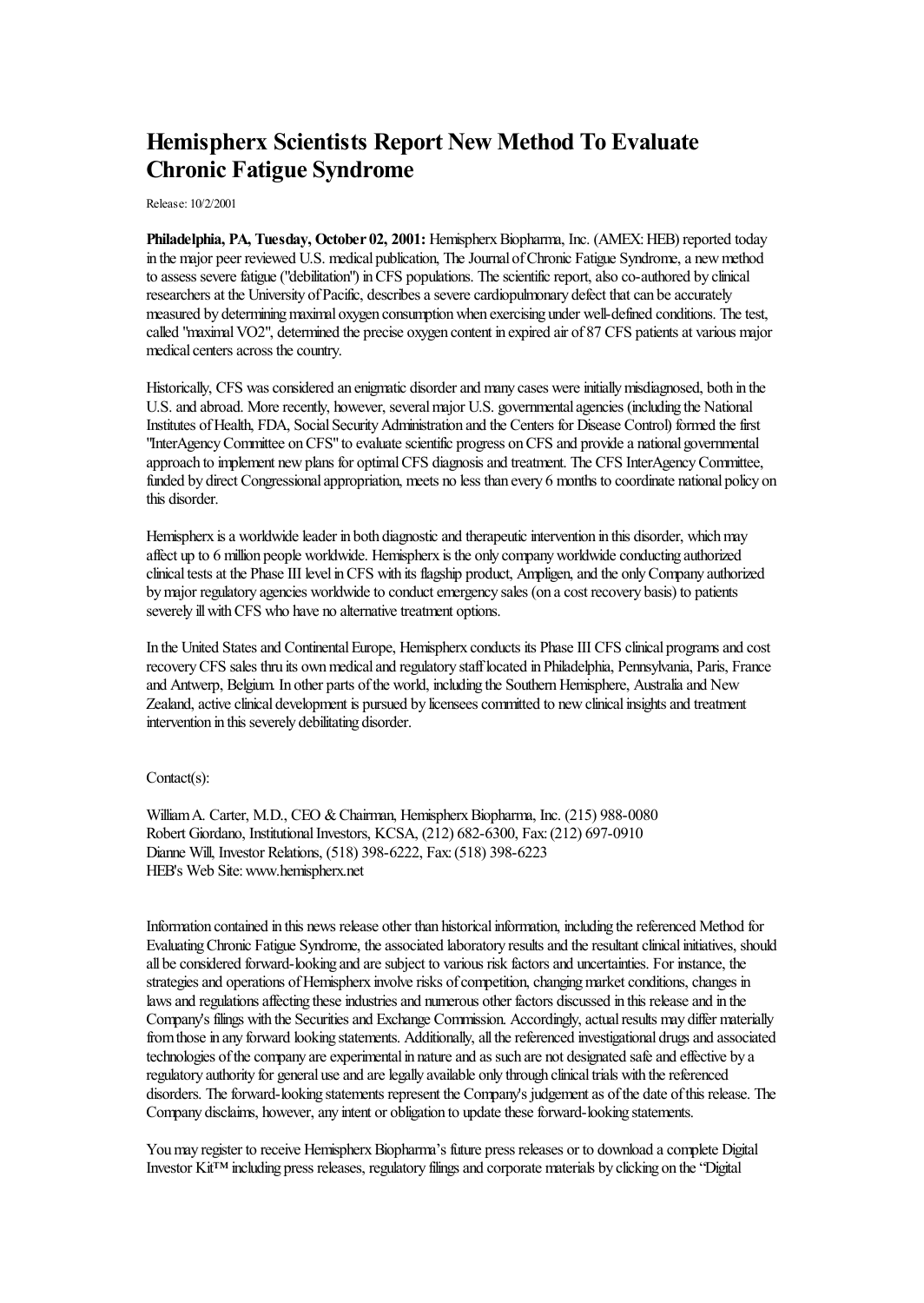## **Hemispherx Scientists Report New Method To Evaluate Chronic Fatigue Syndrome**

Release: 10/2/2001

**Philadelphia, PA, Tuesday, October 02, 2001:** HemispherxBiopharma, Inc. (AMEX:HEB) reported today in the major peer reviewed U.S. medical publication, The Journal of Chronic Fatigue Syndrome, a new method to assess severe fatigue ("debilitation") in CFS populations. The scientific report, also co-authored by clinical researchers at the University of Pacific, describes a severe cardiopulmonary defect that can be accurately measured by determining maximal oxygen consumption when exercising under well-defined conditions. The test, called "maximal VO2", determined the precise oxygen content in expired air of 87 CFS patients at various major medical centers across the country.

Historically, CFS was considered an enigmatic disorder and many cases were initially misdiagnosed, both in the U.S.and abroad. Morerecently, however, severalmajor U.S. governmentalagencies (including the National Institutes of Health, FDA, Social Security Administration and the Centers for Disease Control) formed the first "InterAgency Committee on CFS" to evaluate scientific progress on CFS and provide a national governmental approach to implement newplans for optimalCFS diagnosisand treatment. The CFS InterAgencyCommittee, funded by direct Congressional appropriation, meets no less than every 6 months to coordinate national policy on this disorder.

Hemispherx is a worldwide leader in both diagnostic and therapeutic intervention in this disorder, which may affect up to 6 million people worldwide. Hemispherx is the only companyworldwideconducting authorized clinical tests at the Phase III level in CFS with its flagship product, Ampligen, and the only Company authorized by major regulatory agencies worldwide to conduct emergency sales (on a cost recovery basis) to patients severely ill with CFS who have no alternative treatment options.

In the United States and Continental Europe, Hemispherx conducts its Phase III CFS clinical programs and cost recoveryCFS sales thru its ownmedicaland regulatory stafflocated in Philadelphia, Pennsylvania, Paris, France and Antwerp, Belgium. In other parts of the world, including the Southern Hemisphere, Australia and New Zealand, active clinical development is pursued by licensees committed to new clinical insights and treatment intervention in this severely debilitating disorder.

## Contact(s):

William A. Carter, M.D., CEO & Chairman, Hemispherx Biopharma, Inc. (215) 988-0080 Robert Giordano, Institutional Investors, KCSA, (212) 682-6300, Fax: (212) 697-0910 Dianne Will, Investor Relations, (518) 398-6222, Fax:(518) 398-6223 HEB's Web Site:www.hemispherx.net

Information contained in this news release other than historicalinformation, including thereferenced Method for Evaluating Chronic Fatigue Syndrome, the associated laboratory results and the resultant clinical initiatives, should all beconsidered forward-looking and aresubject to various risk factorsand uncertainties. For instance, the strategies and operations of Hemispherx involve risks of competition, changing market conditions, changes in laws and regulations affecting these industries and numerous other factors discussed in this release and in the Company's filings with the Securities and Exchange Commission. Accordingly, actual results may differ materially from those in any forward looking statements. Additionally, all the referenced investigational drugs and associated technologies of the company are experimental in nature and as such are not designated safe and effective by a regulatory authority for general useand arelegally available only through clinicaltrials with thereferenced disorders. The forward-looking statements represent the Company's judgement as of the date of this release. The Company disclaims, however, any intent or obligation to update these forward-looking statements.

You may register to receive Hemispherx Biopharma's future press releases or to download a complete Digital Investor Kit™ including press releases, regulatory filingsand corporate materials by clicking on the"Digital